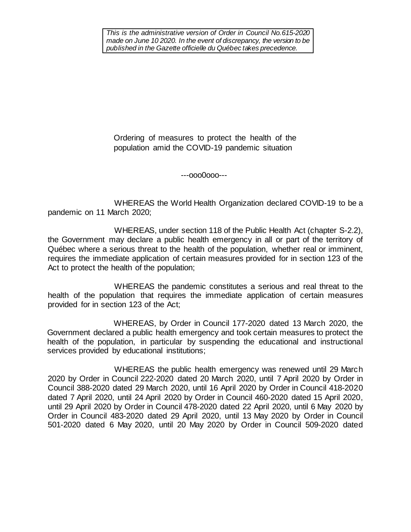*This is the administrative version of Order in Council No.615-2020 made on June 10 2020. In the event of discrepancy, the version to be published in the Gazette officielle du Québec takes precedence.*

Ordering of measures to protect the health of the population amid the COVID-19 pandemic situation

---ooo0ooo---

WHEREAS the World Health Organization declared COVID-19 to be a pandemic on 11 March 2020;

WHEREAS, under section 118 of the Public Health Act (chapter S-2.2), the Government may declare a public health emergency in all or part of the territory of Québec where a serious threat to the health of the population, whether real or imminent, requires the immediate application of certain measures provided for in section 123 of the Act to protect the health of the population;

WHEREAS the pandemic constitutes a serious and real threat to the health of the population that requires the immediate application of certain measures provided for in section 123 of the Act;

WHEREAS, by Order in Council 177-2020 dated 13 March 2020, the Government declared a public health emergency and took certain measures to protect the health of the population, in particular by suspending the educational and instructional services provided by educational institutions;

WHEREAS the public health emergency was renewed until 29 March 2020 by Order in Council 222-2020 dated 20 March 2020, until 7 April 2020 by Order in Council 388-2020 dated 29 March 2020, until 16 April 2020 by Order in Council 418-2020 dated 7 April 2020, until 24 April 2020 by Order in Council 460-2020 dated 15 April 2020, until 29 April 2020 by Order in Council 478-2020 dated 22 April 2020, until 6 May 2020 by Order in Council 483-2020 dated 29 April 2020, until 13 May 2020 by Order in Council 501-2020 dated 6 May 2020, until 20 May 2020 by Order in Council 509-2020 dated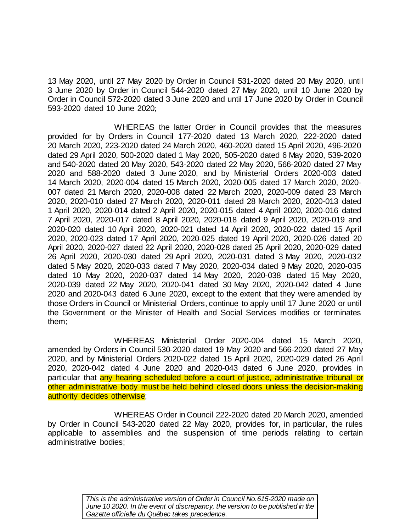13 May 2020, until 27 May 2020 by Order in Council 531-2020 dated 20 May 2020, until 3 June 2020 by Order in Council 544-2020 dated 27 May 2020, until 10 June 2020 by Order in Council 572-2020 dated 3 June 2020 and until 17 June 2020 by Order in Council 593-2020 dated 10 June 2020;

WHEREAS the latter Order in Council provides that the measures provided for by Orders in Council 177-2020 dated 13 March 2020, 222-2020 dated 20 March 2020, 223-2020 dated 24 March 2020, 460-2020 dated 15 April 2020, 496-2020 dated 29 April 2020, 500-2020 dated 1 May 2020, 505-2020 dated 6 May 2020, 539-2020 and 540-2020 dated 20 May 2020, 543-2020 dated 22 May 2020, 566-2020 dated 27 May 2020 and 588-2020 dated 3 June 2020, and by Ministerial Orders 2020-003 dated 14 March 2020, 2020-004 dated 15 March 2020, 2020-005 dated 17 March 2020, 2020- 007 dated 21 March 2020, 2020-008 dated 22 March 2020, 2020-009 dated 23 March 2020, 2020-010 dated 27 March 2020, 2020-011 dated 28 March 2020, 2020-013 dated 1 April 2020, 2020-014 dated 2 April 2020, 2020-015 dated 4 April 2020, 2020-016 dated 7 April 2020, 2020-017 dated 8 April 2020, 2020-018 dated 9 April 2020, 2020-019 and 2020-020 dated 10 April 2020, 2020-021 dated 14 April 2020, 2020-022 dated 15 April 2020, 2020-023 dated 17 April 2020, 2020-025 dated 19 April 2020, 2020-026 dated 20 April 2020, 2020-027 dated 22 April 2020, 2020-028 dated 25 April 2020, 2020-029 dated 26 April 2020, 2020-030 dated 29 April 2020, 2020-031 dated 3 May 2020, 2020-032 dated 5 May 2020, 2020-033 dated 7 May 2020, 2020-034 dated 9 May 2020, 2020-035 dated 10 May 2020, 2020-037 dated 14 May 2020, 2020-038 dated 15 May 2020, 2020-039 dated 22 May 2020, 2020-041 dated 30 May 2020, 2020-042 dated 4 June 2020 and 2020-043 dated 6 June 2020, except to the extent that they were amended by those Orders in Council or Ministerial Orders, continue to apply until 17 June 2020 or until the Government or the Minister of Health and Social Services modifies or terminates them;

WHEREAS Ministerial Order 2020-004 dated 15 March 2020, amended by Orders in Council 530-2020 dated 19 May 2020 and 566-2020 dated 27 May 2020, and by Ministerial Orders 2020-022 dated 15 April 2020, 2020-029 dated 26 April 2020, 2020-042 dated 4 June 2020 and 2020-043 dated 6 June 2020, provides in particular that any hearing scheduled before a court of justice, administrative tribunal or other administrative body must be held behind closed doors unless the decision-making authority decides otherwise;

WHEREAS Order in Council 222-2020 dated 20 March 2020, amended by Order in Council 543-2020 dated 22 May 2020, provides for, in particular, the rules applicable to assemblies and the suspension of time periods relating to certain administrative bodies;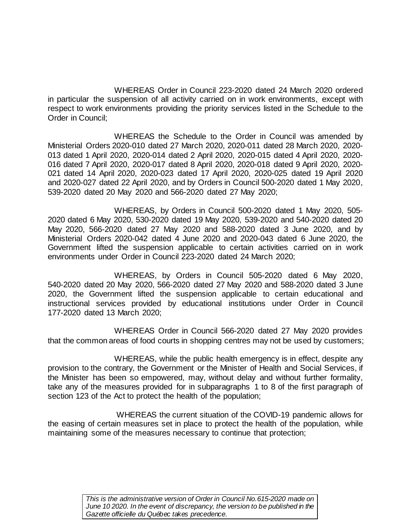WHEREAS Order in Council 223-2020 dated 24 March 2020 ordered in particular the suspension of all activity carried on in work environments, except with respect to work environments providing the priority services listed in the Schedule to the Order in Council;

WHEREAS the Schedule to the Order in Council was amended by Ministerial Orders 2020-010 dated 27 March 2020, 2020-011 dated 28 March 2020, 2020- 013 dated 1 April 2020, 2020-014 dated 2 April 2020, 2020-015 dated 4 April 2020, 2020- 016 dated 7 April 2020, 2020-017 dated 8 April 2020, 2020-018 dated 9 April 2020, 2020- 021 dated 14 April 2020, 2020-023 dated 17 April 2020, 2020-025 dated 19 April 2020 and 2020-027 dated 22 April 2020, and by Orders in Council 500-2020 dated 1 May 2020, 539-2020 dated 20 May 2020 and 566-2020 dated 27 May 2020;

WHEREAS, by Orders in Council 500-2020 dated 1 May 2020, 505- 2020 dated 6 May 2020, 530-2020 dated 19 May 2020, 539-2020 and 540-2020 dated 20 May 2020, 566-2020 dated 27 May 2020 and 588-2020 dated 3 June 2020, and by Ministerial Orders 2020-042 dated 4 June 2020 and 2020-043 dated 6 June 2020, the Government lifted the suspension applicable to certain activities carried on in work environments under Order in Council 223-2020 dated 24 March 2020;

WHEREAS, by Orders in Council 505-2020 dated 6 May 2020, 540-2020 dated 20 May 2020, 566-2020 dated 27 May 2020 and 588-2020 dated 3 June 2020, the Government lifted the suspension applicable to certain educational and instructional services provided by educational institutions under Order in Council 177-2020 dated 13 March 2020;

WHEREAS Order in Council 566-2020 dated 27 May 2020 provides that the common areas of food courts in shopping centres may not be used by customers;

WHEREAS, while the public health emergency is in effect, despite any provision to the contrary, the Government or the Minister of Health and Social Services, if the Minister has been so empowered, may, without delay and without further formality, take any of the measures provided for in subparagraphs 1 to 8 of the first paragraph of section 123 of the Act to protect the health of the population;

WHEREAS the current situation of the COVID-19 pandemic allows for the easing of certain measures set in place to protect the health of the population, while maintaining some of the measures necessary to continue that protection;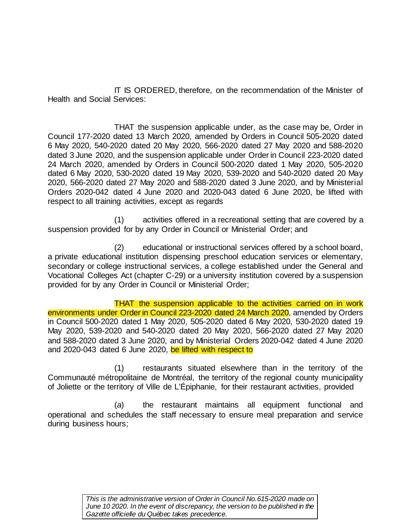IT IS ORDERED, therefore, on the recommendation of the Minister of Health and Social Services:

THAT the suspension applicable under, as the case may be, Order in Council 177-2020 dated 13 March 2020, amended by Orders in Council 505-2020 dated 6 May 2020, 540-2020 dated 20 May 2020, 566-2020 dated 27 May 2020 and 588-2020 dated 3 June 2020, and the suspension applicable under Order in Council 223-2020 dated 24 March 2020, amended by Orders in Council 500-2020 dated 1 May 2020, 505-2020 dated 6 May 2020, 530-2020 dated 19 May 2020, 539-2020 and 540-2020 dated 20 May 2020, 566-2020 dated 27 May 2020 and 588-2020 dated 3 June 2020, and by Ministerial Orders 2020-042 dated 4 June 2020 and 2020-043 dated 6 June 2020, be lifted with respect to all training activities, except as regards

(1) activities offered in a recreational setting that are covered by a suspension provided for by any Order in Council or Ministerial Order; and

(2) educational or instructional services offered by a school board, a private educational institution dispensing preschool education services or elementary, secondary or college instructional services, a college established under the General and Vocational Colleges Act (chapter C-29) or a university institution covered by a suspension provided for by any Order in Council or Ministerial Order;

THAT the suspension applicable to the activities carried on in work environments under Order in Council 223-2020 dated 24 March 2020, amended by Orders in Council 500-2020 dated 1 May 2020, 505-2020 dated 6 May 2020, 530-2020 dated 19 May 2020, 539-2020 and 540-2020 dated 20 May 2020, 566-2020 dated 27 May 2020 and 588-2020 dated 3 June 2020, and by Ministerial Orders 2020-042 dated 4 June 2020 and 2020-043 dated 6 June 2020, be lifted with respect to

(1) restaurants situated elsewhere than in the territory of the Communauté métropolitaine de Montréal, the territory of the regional county municipality of Joliette or the territory of Ville de L'Épiphanie, for their restaurant activities, provided

(*a*) the restaurant maintains all equipment functional and operational and schedules the staff necessary to ensure meal preparation and service during business hours;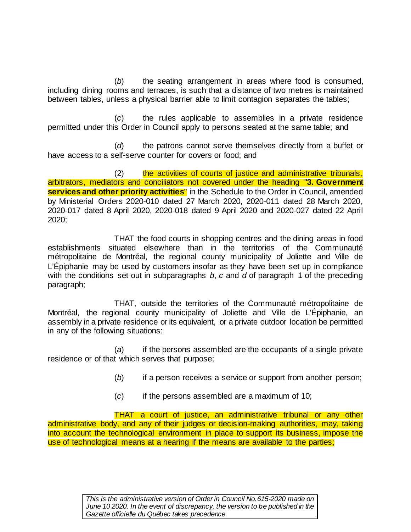(*b*) the seating arrangement in areas where food is consumed, including dining rooms and terraces, is such that a distance of two metres is maintained between tables, unless a physical barrier able to limit contagion separates the tables;

(*c*) the rules applicable to assemblies in a private residence permitted under this Order in Council apply to persons seated at the same table; and

(*d*) the patrons cannot serve themselves directly from a buffet or have access to a self-serve counter for covers or food; and

(2) the activities of courts of justice and administrative tribunals, arbitrators, mediators and conciliators not covered under the heading "**3. Government services and other priority activities**" in the Schedule to the Order in Council, amended by Ministerial Orders 2020-010 dated 27 March 2020, 2020-011 dated 28 March 2020, 2020-017 dated 8 April 2020, 2020-018 dated 9 April 2020 and 2020-027 dated 22 April 2020;

THAT the food courts in shopping centres and the dining areas in food establishments situated elsewhere than in the territories of the Communauté métropolitaine de Montréal, the regional county municipality of Joliette and Ville de L'Épiphanie may be used by customers insofar as they have been set up in compliance with the conditions set out in subparagraphs *b*, *c* and *d* of paragraph 1 of the preceding paragraph;

THAT, outside the territories of the Communauté métropolitaine de Montréal, the regional county municipality of Joliette and Ville de L'Épiphanie, an assembly in a private residence or its equivalent, or a private outdoor location be permitted in any of the following situations:

(*a*) if the persons assembled are the occupants of a single private residence or of that which serves that purpose;

- (*b*) if a person receives a service or support from another person;
- (*c*) if the persons assembled are a maximum of 10;

THAT a court of justice, an administrative tribunal or any other administrative body, and any of their judges or decision-making authorities, may, taking into account the technological environment in place to support its business, impose the use of technological means at a hearing if the means are available to the parties;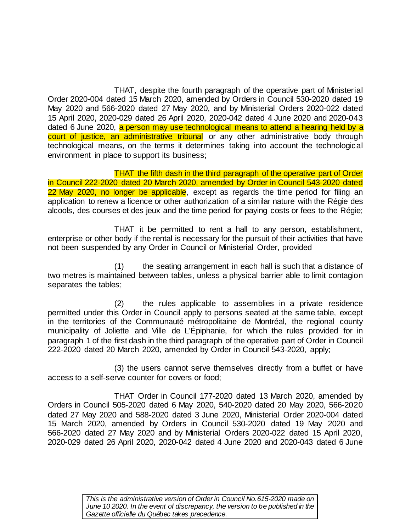THAT, despite the fourth paragraph of the operative part of Ministerial Order 2020-004 dated 15 March 2020, amended by Orders in Council 530-2020 dated 19 May 2020 and 566-2020 dated 27 May 2020, and by Ministerial Orders 2020-022 dated 15 April 2020, 2020-029 dated 26 April 2020, 2020-042 dated 4 June 2020 and 2020-043 dated 6 June 2020, a person may use technological means to attend a hearing held by a court of justice, an administrative tribunal or any other administrative body through technological means, on the terms it determines taking into account the technological environment in place to support its business;

THAT the fifth dash in the third paragraph of the operative part of Order in Council 222-2020 dated 20 March 2020, amended by Order in Council 543-2020 dated 22 May 2020, no longer be applicable, except as regards the time period for filing an application to renew a licence or other authorization of a similar nature with the Régie des alcools, des courses et des jeux and the time period for paying costs or fees to the Régie;

THAT it be permitted to rent a hall to any person, establishment, enterprise or other body if the rental is necessary for the pursuit of their activities that have not been suspended by any Order in Council or Ministerial Order, provided

(1) the seating arrangement in each hall is such that a distance of two metres is maintained between tables, unless a physical barrier able to limit contagion separates the tables;

(2) the rules applicable to assemblies in a private residence permitted under this Order in Council apply to persons seated at the same table, except in the territories of the Communauté métropolitaine de Montréal, the regional county municipality of Joliette and Ville de L'Épiphanie, for which the rules provided for in paragraph 1 of the first dash in the third paragraph of the operative part of Order in Council 222-2020 dated 20 March 2020, amended by Order in Council 543-2020, apply;

(3) the users cannot serve themselves directly from a buffet or have access to a self-serve counter for covers or food;

THAT Order in Council 177-2020 dated 13 March 2020, amended by Orders in Council 505-2020 dated 6 May 2020, 540-2020 dated 20 May 2020, 566-2020 dated 27 May 2020 and 588-2020 dated 3 June 2020, Ministerial Order 2020-004 dated 15 March 2020, amended by Orders in Council 530-2020 dated 19 May 2020 and 566-2020 dated 27 May 2020 and by Ministerial Orders 2020-022 dated 15 April 2020, 2020-029 dated 26 April 2020, 2020-042 dated 4 June 2020 and 2020-043 dated 6 June